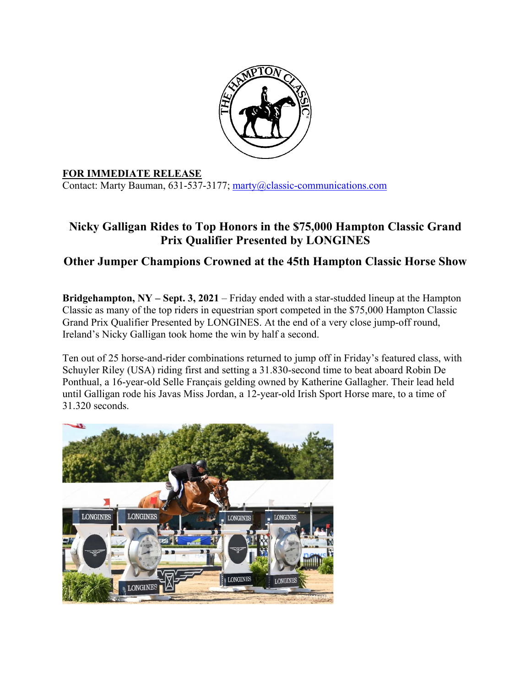

## **FOR IMMEDIATE RELEASE**

Contact: Marty Bauman, 631-537-3177; marty@classic-communications.com

## **Nicky Galligan Rides to Top Honors in the \$75,000 Hampton Classic Grand Prix Qualifier Presented by LONGINES**

## **Other Jumper Champions Crowned at the 45th Hampton Classic Horse Show**

**Bridgehampton, NY – Sept. 3, 2021** – Friday ended with a star-studded lineup at the Hampton Classic as many of the top riders in equestrian sport competed in the \$75,000 Hampton Classic Grand Prix Qualifier Presented by LONGINES. At the end of a very close jump-off round, Ireland's Nicky Galligan took home the win by half a second.

Ten out of 25 horse-and-rider combinations returned to jump off in Friday's featured class, with Schuyler Riley (USA) riding first and setting a 31.830-second time to beat aboard Robin De Ponthual, a 16-year-old Selle Français gelding owned by Katherine Gallagher. Their lead held until Galligan rode his Javas Miss Jordan, a 12-year-old Irish Sport Horse mare, to a time of 31.320 seconds.

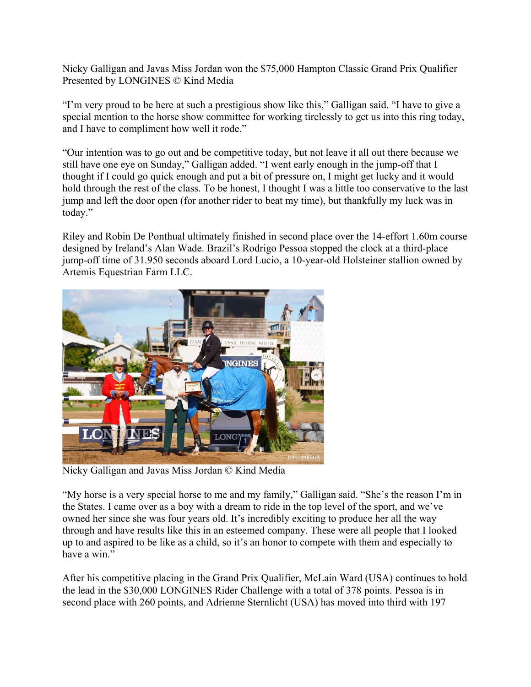Nicky Galligan and Javas Miss Jordan won the \$75,000 Hampton Classic Grand Prix Qualifier Presented by LONGINES © Kind Media

"I'm very proud to be here at such a prestigious show like this," Galligan said. "I have to give a special mention to the horse show committee for working tirelessly to get us into this ring today, and I have to compliment how well it rode."

"Our intention was to go out and be competitive today, but not leave it all out there because we still have one eye on Sunday," Galligan added. "I went early enough in the jump-off that I thought if I could go quick enough and put a bit of pressure on, I might get lucky and it would hold through the rest of the class. To be honest, I thought I was a little too conservative to the last jump and left the door open (for another rider to beat my time), but thankfully my luck was in today."

Riley and Robin De Ponthual ultimately finished in second place over the 14-effort 1.60m course designed by Ireland's Alan Wade. Brazil's Rodrigo Pessoa stopped the clock at a third-place jump-off time of 31.950 seconds aboard Lord Lucio, a 10-year-old Holsteiner stallion owned by Artemis Equestrian Farm LLC.



Nicky Galligan and Javas Miss Jordan © Kind Media

"My horse is a very special horse to me and my family," Galligan said. "She's the reason I'm in the States. I came over as a boy with a dream to ride in the top level of the sport, and we've owned her since she was four years old. It's incredibly exciting to produce her all the way through and have results like this in an esteemed company. These were all people that I looked up to and aspired to be like as a child, so it's an honor to compete with them and especially to have a win."

After his competitive placing in the Grand Prix Qualifier, McLain Ward (USA) continues to hold the lead in the \$30,000 LONGINES Rider Challenge with a total of 378 points. Pessoa is in second place with 260 points, and Adrienne Sternlicht (USA) has moved into third with 197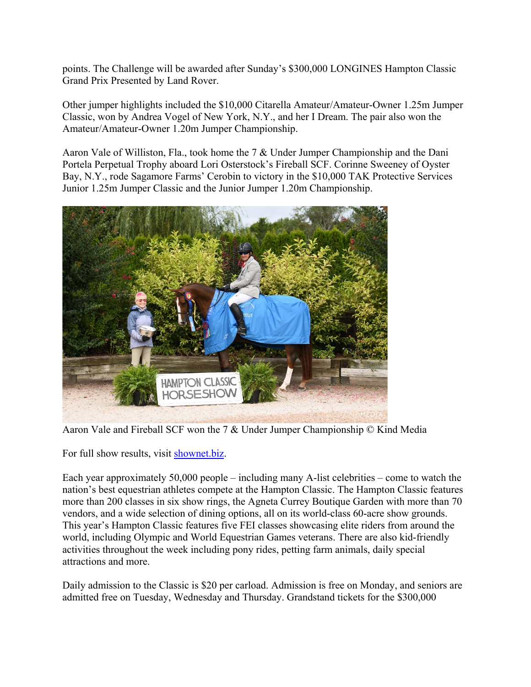points. The Challenge will be awarded after Sunday's \$300,000 LONGINES Hampton Classic Grand Prix Presented by Land Rover.

Other jumper highlights included the \$10,000 Citarella Amateur/Amateur-Owner 1.25m Jumper Classic, won by Andrea Vogel of New York, N.Y., and her I Dream. The pair also won the Amateur/Amateur-Owner 1.20m Jumper Championship.

Aaron Vale of Williston, Fla., took home the 7 & Under Jumper Championship and the Dani Portela Perpetual Trophy aboard Lori Osterstock's Fireball SCF. Corinne Sweeney of Oyster Bay, N.Y., rode Sagamore Farms' Cerobin to victory in the \$10,000 TAK Protective Services Junior 1.25m Jumper Classic and the Junior Jumper 1.20m Championship.



Aaron Vale and Fireball SCF won the 7 & Under Jumper Championship © Kind Media

For full show results, visit shownet.biz.

Each year approximately 50,000 people – including many A-list celebrities – come to watch the nation's best equestrian athletes compete at the Hampton Classic. The Hampton Classic features more than 200 classes in six show rings, the Agneta Currey Boutique Garden with more than 70 vendors, and a wide selection of dining options, all on its world-class 60-acre show grounds. This year's Hampton Classic features five FEI classes showcasing elite riders from around the world, including Olympic and World Equestrian Games veterans. There are also kid-friendly activities throughout the week including pony rides, petting farm animals, daily special attractions and more.

Daily admission to the Classic is \$20 per carload. Admission is free on Monday, and seniors are admitted free on Tuesday, Wednesday and Thursday. Grandstand tickets for the \$300,000